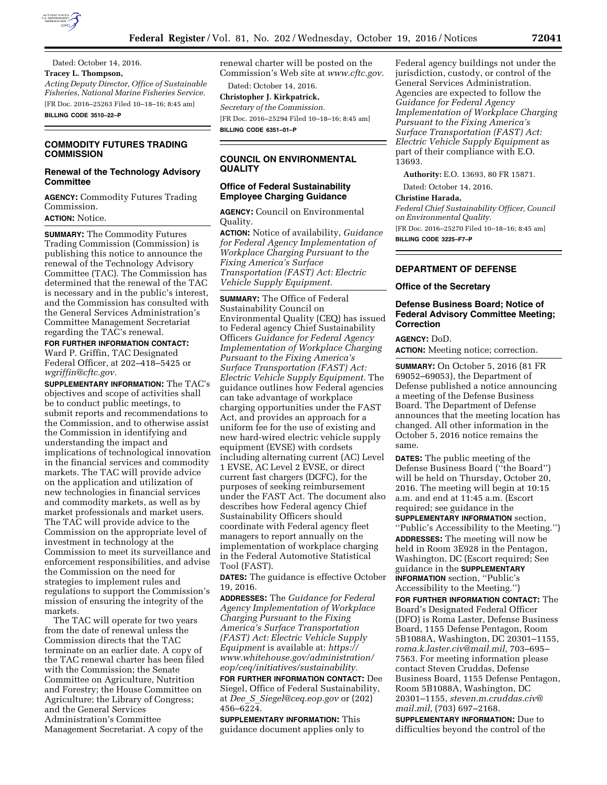

Dated: October 14, 2016. **Tracey L. Thompson,**  *Acting Deputy Director, Office of Sustainable Fisheries, National Marine Fisheries Service.*  [FR Doc. 2016–25263 Filed 10–18–16; 8:45 am] **BILLING CODE 3510–22–P** 

# **COMMODITY FUTURES TRADING COMMISSION**

## **Renewal of the Technology Advisory Committee**

**AGENCY:** Commodity Futures Trading Commission.

**ACTION:** Notice.

**SUMMARY:** The Commodity Futures Trading Commission (Commission) is publishing this notice to announce the renewal of the Technology Advisory Committee (TAC). The Commission has determined that the renewal of the TAC is necessary and in the public's interest, and the Commission has consulted with the General Services Administration's Committee Management Secretariat regarding the TAC's renewal.

**FOR FURTHER INFORMATION CONTACT:**  Ward P. Griffin, TAC Designated Federal Officer, at 202–418–5425 or *[wgriffin@cftc.gov.](mailto:wgriffin@cftc.gov)* 

**SUPPLEMENTARY INFORMATION:** The TAC's objectives and scope of activities shall be to conduct public meetings, to submit reports and recommendations to the Commission, and to otherwise assist the Commission in identifying and understanding the impact and implications of technological innovation in the financial services and commodity markets. The TAC will provide advice on the application and utilization of new technologies in financial services and commodity markets, as well as by market professionals and market users. The TAC will provide advice to the Commission on the appropriate level of investment in technology at the Commission to meet its surveillance and enforcement responsibilities, and advise the Commission on the need for strategies to implement rules and regulations to support the Commission's mission of ensuring the integrity of the markets.

The TAC will operate for two years from the date of renewal unless the Commission directs that the TAC terminate on an earlier date. A copy of the TAC renewal charter has been filed with the Commission; the Senate Committee on Agriculture, Nutrition and Forestry; the House Committee on Agriculture; the Library of Congress; and the General Services Administration's Committee Management Secretariat. A copy of the

renewal charter will be posted on the Commission's Web site at *[www.cftc.gov.](http://www.cftc.gov)* 

Dated: October 14, 2016. **Christopher J. Kirkpatrick,**  *Secretary of the Commission.*  [FR Doc. 2016–25294 Filed 10–18–16; 8:45 am] **BILLING CODE 6351–01–P** 

**COUNCIL ON ENVIRONMENTAL QUALITY** 

## **Office of Federal Sustainability Employee Charging Guidance**

**AGENCY:** Council on Environmental Quality.

**ACTION:** Notice of availability, *Guidance for Federal Agency Implementation of Workplace Charging Pursuant to the Fixing America's Surface Transportation (FAST) Act: Electric Vehicle Supply Equipment.* 

**SUMMARY:** The Office of Federal Sustainability Council on Environmental Quality (CEQ) has issued to Federal agency Chief Sustainability Officers *Guidance for Federal Agency Implementation of Workplace Charging Pursuant to the Fixing America's Surface Transportation (FAST) Act: Electric Vehicle Supply Equipment.* The guidance outlines how Federal agencies can take advantage of workplace charging opportunities under the FAST Act, and provides an approach for a uniform fee for the use of existing and new hard-wired electric vehicle supply equipment (EVSE) with cordsets including alternating current (AC) Level 1 EVSE, AC Level 2 EVSE, or direct current fast chargers (DCFC), for the purposes of seeking reimbursement under the FAST Act. The document also describes how Federal agency Chief Sustainability Officers should coordinate with Federal agency fleet managers to report annually on the implementation of workplace charging in the Federal Automotive Statistical Tool (FAST).

**DATES:** The guidance is effective October 19, 2016.

**ADDRESSES:** The *Guidance for Federal Agency Implementation of Workplace Charging Pursuant to the Fixing America's Surface Transportation (FAST) Act: Electric Vehicle Supply Equipment* is available at: *[https://](https://www.whitehouse.gov/administration/eop/ceq/initiatives/sustainability) [www.whitehouse.gov/administration/](https://www.whitehouse.gov/administration/eop/ceq/initiatives/sustainability) [eop/ceq/initiatives/sustainability.](https://www.whitehouse.gov/administration/eop/ceq/initiatives/sustainability)* 

**FOR FURTHER INFORMATION CONTACT:** Dee Siegel, Office of Federal Sustainability, at *Dee*\_*S*\_*[Siegel@ceq.eop.gov](mailto:Dee_S_Siegel@ceq.eop.gov)* or (202) 456–6224.

**SUPPLEMENTARY INFORMATION:** This guidance document applies only to

Federal agency buildings not under the jurisdiction, custody, or control of the General Services Administration. Agencies are expected to follow the *Guidance for Federal Agency Implementation of Workplace Charging Pursuant to the Fixing America's Surface Transportation (FAST) Act: Electric Vehicle Supply Equipment* as part of their compliance with E.O. 13693.

**Authority:** E.O. 13693, 80 FR 15871.

Dated: October 14, 2016.

### **Christine Harada,**

*Federal Chief Sustainability Officer, Council on Environmental Quality.* 

[FR Doc. 2016–25270 Filed 10–18–16; 8:45 am] **BILLING CODE 3225–F7–P** 

**DEPARTMENT OF DEFENSE** 

### **Office of the Secretary**

### **Defense Business Board; Notice of Federal Advisory Committee Meeting; Correction**

#### **AGENCY:** DoD.

**ACTION:** Meeting notice; correction.

**SUMMARY:** On October 5, 2016 (81 FR 69052–69053), the Department of Defense published a notice announcing a meeting of the Defense Business Board. The Department of Defense announces that the meeting location has changed. All other information in the October 5, 2016 notice remains the same.

**DATES:** The public meeting of the Defense Business Board (''the Board'') will be held on Thursday, October 20, 2016. The meeting will begin at 10:15 a.m. and end at 11:45 a.m. (Escort required; see guidance in the

**SUPPLEMENTARY INFORMATION** section, ''Public's Accessibility to the Meeting.'') **ADDRESSES:** The meeting will now be held in Room 3E928 in the Pentagon, Washington, DC (Escort required; See guidance in the **SUPPLEMENTARY INFORMATION** section, ''Public's Accessibility to the Meeting.'')

**FOR FURTHER INFORMATION CONTACT:** The Board's Designated Federal Officer (DFO) is Roma Laster, Defense Business Board, 1155 Defense Pentagon, Room 5B1088A, Washington, DC 20301–1155, *[roma.k.laster.civ@mail.mil,](mailto:roma.k.laster.civ@mail.mil)* 703–695– 7563. For meeting information please contact Steven Cruddas, Defense Business Board, 1155 Defense Pentagon, Room 5B1088A, Washington, DC 20301–1155, *[steven.m.cruddas.civ@](mailto:steven.m.cruddas.civ@mail.mil) [mail.mil,](mailto:steven.m.cruddas.civ@mail.mil)* (703) 697–2168.

**SUPPLEMENTARY INFORMATION:** Due to difficulties beyond the control of the